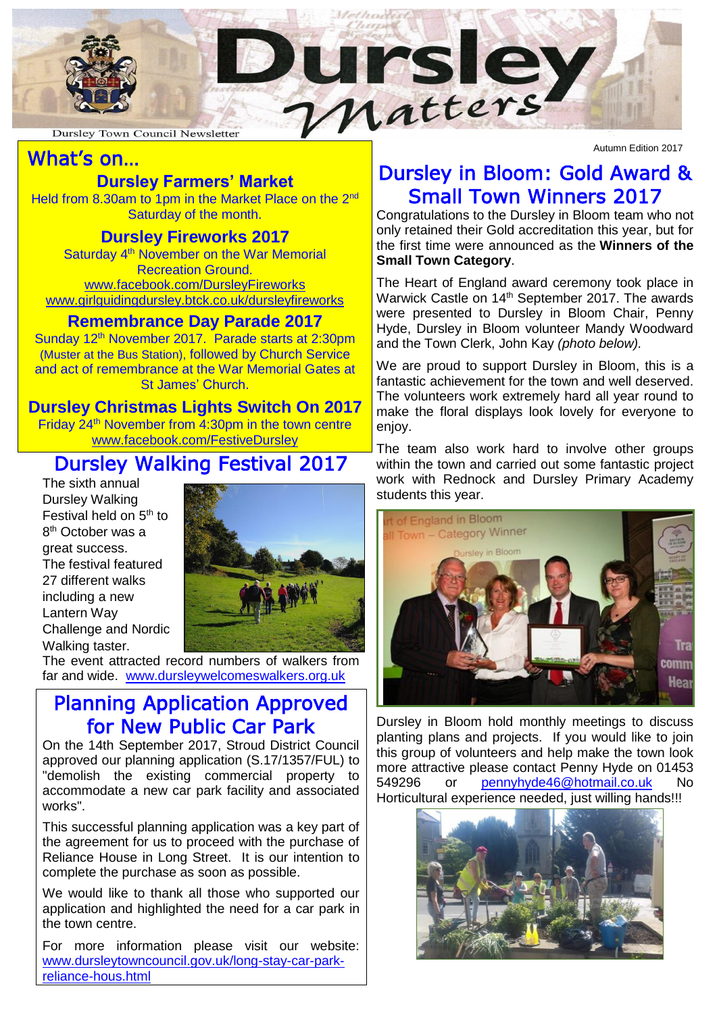

# What's on…

## **Dursley Farmers' Market**

Held from 8.30am to 1pm in the Market Place on the 2<sup>nd</sup> Saturday of the month.

### **Dursley Fireworks 2017**

Saturday 4<sup>th</sup> November on the War Memorial Recreation Ground. [www.facebook.com/DursleyFireworks](http://www.facebook.com/DursleyFireworks) [www.girlguidingdursley.btck.co.uk/dursleyfireworks](http://www.girlguidingdursley.btck.co.uk/dursleyfireworks)

### **Remembrance Day Parade 2017**

Sunday 12<sup>th</sup> November 2017. Parade starts at 2:30pm (Muster at the Bus Station), followed by Church Service and act of remembrance at the War Memorial Gates at St James' Church.

### **Dursley Christmas Lights Switch On 2017**

Friday 24<sup>th</sup> November from 4:30pm in the town centre [www.facebook.com/FestiveDursley](http://www.facebook.com/FestiveDursley)

# Dursley Walking Festival 2017

The sixth annual Dursley Walking Festival held on 5<sup>th</sup> to 8<sup>th</sup> October was a great success. The festival featured 27 different walks including a new Lantern Way Challenge and Nordic Walking taster.



The event attracted record numbers of walkers from far and wide. [www.dursleywelcomeswalkers.org.uk](http://www.dursleywelcomeswalkers.org.uk/)

### Planning Application Approved for New Public Car Park

On the 14th September 2017, Stroud District Council approved our planning application (S.17/1357/FUL) to "demolish the existing commercial property to accommodate a new car park facility and associated works".

This successful planning application was a key part of the agreement for us to proceed with the purchase of Reliance House in Long Street. It is our intention to complete the purchase as soon as possible.

We would like to thank all those who supported our application and highlighted the need for a car park in the town centre.

For more information please visit our website: [www.dursleytowncouncil.gov.uk/long-stay-car-park](http://www.dursleytowncouncil.gov.uk/)[reliance-hous.html](http://www.dursleytowncouncil.gov.uk/)

Autumn Edition 2017

# Dursley in Bloom: Gold Award & Small Town Winners 2017

Congratulations to the Dursley in Bloom team who not only retained their Gold accreditation this year, but for the first time were announced as the **Winners of the Small Town Category**.

The Heart of England award ceremony took place in Warwick Castle on 14<sup>th</sup> September 2017. The awards were presented to Dursley in Bloom Chair, Penny Hyde, Dursley in Bloom volunteer Mandy Woodward and the Town Clerk, John Kay *(photo below).*

We are proud to support Dursley in Bloom, this is a fantastic achievement for the town and well deserved. The volunteers work extremely hard all year round to make the floral displays look lovely for everyone to enjoy.

The team also work hard to involve other groups within the town and carried out some fantastic project work with Rednock and Dursley Primary Academy students this year.



Dursley in Bloom hold monthly meetings to discuss planting plans and projects. If you would like to join this group of volunteers and help make the town look more attractive please contact Penny Hyde on 01453 549296 or [pennyhyde46@hotmail.co.uk](mailto:pennyhyde46@hotmail.co.uk) No Horticultural experience needed, just willing hands!!!

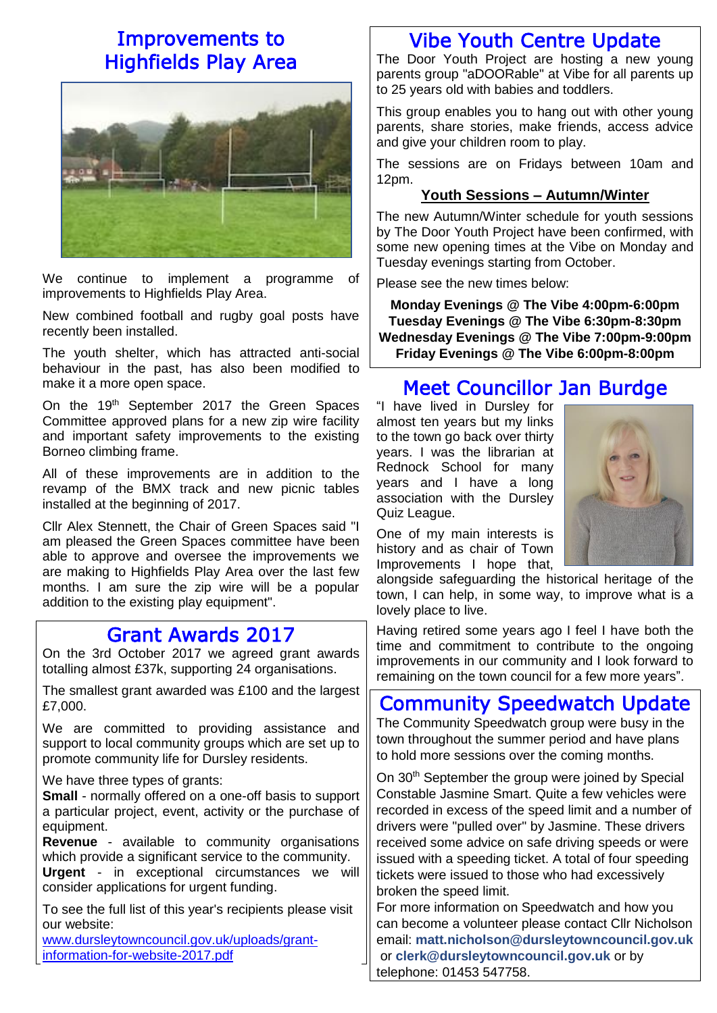# Improvements to Highfields Play Area



We continue to implement a programme of improvements to Highfields Play Area.

New combined football and rugby goal posts have recently been installed.

The youth shelter, which has attracted anti-social behaviour in the past, has also been modified to make it a more open space.

On the 19<sup>th</sup> September 2017 the Green Spaces Committee approved plans for a new zip wire facility and important safety improvements to the existing Borneo climbing frame.

All of these improvements are in addition to the revamp of the BMX track and new picnic tables installed at the beginning of 2017.

Cllr Alex Stennett, the Chair of Green Spaces said "I am pleased the Green Spaces committee have been able to approve and oversee the improvements we are making to Highfields Play Area over the last few months. I am sure the zip wire will be a popular addition to the existing play equipment".

### Grant Awards 2017

On the 3rd October 2017 we agreed grant awards totalling almost £37k, supporting 24 organisations.

The smallest grant awarded was £100 and the largest £7,000.

We are committed to providing assistance and support to local community groups which are set up to promote community life for Dursley residents.

#### We have three types of grants:

**Small** - normally offered on a one-off basis to support a particular project, event, activity or the purchase of equipment.

**Revenue** - available to community organisations which provide a significant service to the community.

**Urgent** - in exceptional circumstances we will consider applications for urgent funding.

To see the full list of this year's recipients please visit our website:

[www.dursleytowncouncil.gov.uk/uploads/grant](http://www.dursleytowncouncil.gov.uk/uploads/grant-information-for-website-2017.pdf)[information-for-website-2017.pdf](http://www.dursleytowncouncil.gov.uk/uploads/grant-information-for-website-2017.pdf)

### Vibe Youth Centre Update

The Door Youth Project are hosting a new young parents group "aDOORable" at Vibe for all parents up to 25 years old with babies and toddlers.

This group enables you to hang out with other young parents, share stories, make friends, access advice and give your children room to play.

The sessions are on Fridays between 10am and 12pm.

#### **Youth Sessions – Autumn/Winter**

The new Autumn/Winter schedule for youth sessions by The Door Youth Project have been confirmed, with some new opening times at the Vibe on Monday and Tuesday evenings starting from October.

Please see the new times below:

**Monday Evenings @ The Vibe 4:00pm-6:00pm Tuesday Evenings @ The Vibe 6:30pm-8:30pm Wednesday Evenings @ The Vibe 7:00pm-9:00pm Friday Evenings @ The Vibe 6:00pm-8:00pm**

# Meet Councillor Jan Burdge

"I have lived in Dursley for almost ten years but my links to the town go back over thirty years. I was the librarian at Rednock School for many years and I have a long association with the Dursley Quiz League.



One of my main interests is history and as chair of Town Improvements I hope that,

alongside safeguarding the historical heritage of the town, I can help, in some way, to improve what is a lovely place to live.

Having retired some years ago I feel I have both the time and commitment to contribute to the ongoing improvements in our community and I look forward to remaining on the town council for a few more years".

# Community Speedwatch Update

The Community Speedwatch group were busy in the town throughout the summer period and have plans to hold more sessions over the coming months.

On 30<sup>th</sup> September the group were joined by Special Constable Jasmine Smart. Quite a few vehicles were recorded in excess of the speed limit and a number of drivers were "pulled over" by Jasmine. These drivers received some advice on safe driving speeds or were issued with a speeding ticket. A total of four speeding tickets were issued to those who had excessively broken the speed limit.

For more information on Speedwatch and how you can become a volunteer please contact Cllr Nicholson email: **[matt.nicholson@dursleytowncouncil.gov.uk](mailto:matt.nicholson@dursleytowncouncil.gov.uk)** or **[clerk@dursleytowncouncil.gov.uk](mailto:clerk@dursleytowncouncil.gov.uk)** or by telephone: 01453 547758.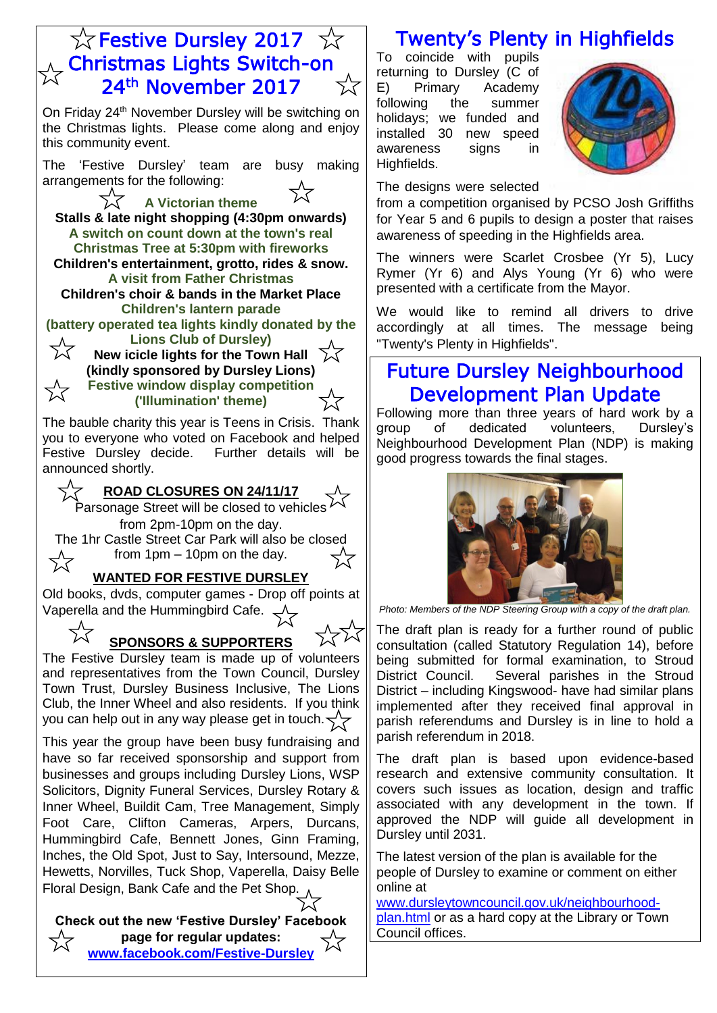## ☆ Festive Dursley 2017 ☆ **Christmas Lights Switch-on** 24th November 2017

On Friday 24<sup>th</sup> November Dursley will be switching on the Christmas lights. Please come along and enjoy this community event.

The 'Festive Dursley' team are busy making arrangements for the following:

**A Victorian theme Stalls & late night shopping (4:30pm onwards) A switch on count down at the town's real Christmas Tree at 5:30pm with fireworks Children's entertainment, grotto, rides & snow. A visit from Father Christmas Children's choir & bands in the Market Place Children's lantern parade** 

**(battery operated tea lights kindly donated by the Lions Club of Dursley)** 72

**New icicle lights for the Town Hall**  $\overrightarrow{\lambda}$ **(kindly sponsored by Dursley Lions) Festive window display competition ('Illumination' theme)**

The bauble charity this year is Teens in Crisis. Thank you to everyone who voted on Facebook and helped Festive Dursley decide. Further details will be announced shortly.

**ROAD CLOSURES ON 24/11/17**

Parsonage Street will be closed to vehicles  $\overline{V}$ from 2pm-10pm on the day.

The 1hr Castle Street Car Park will also be closed from 1pm – 10pm on the day.

#### **WANTED FOR FESTIVE DURSLEY**

Old books, dvds, computer games - Drop off points at Vaperella and the Hummingbird Cafe.  $\leq$ 

 $\nabla$ **SPONSORS & SUPPORTERS** 

The Festive Dursley team is made up of volunteers and representatives from the Town Council, Dursley Town Trust, Dursley Business Inclusive, The Lions Club, the Inner Wheel and also residents. If you think you can help out in any way please get in touch.  $\leq$ 

This year the group have been busy fundraising and have so far received sponsorship and support from businesses and groups including Dursley Lions, WSP Solicitors, Dignity Funeral Services, Dursley Rotary & Inner Wheel, Buildit Cam, Tree Management, Simply Foot Care, Clifton Cameras, Arpers, Durcans, Hummingbird Cafe, Bennett Jones, Ginn Framing, Inches, the Old Spot, Just to Say, Intersound, Mezze, Hewetts, Norvilles, Tuck Shop, Vaperella, Daisy Belle Floral Design, Bank Cafe and the Pet Shop.

**Check out the new 'Festive Dursley' Facebook page for regular updates: [www.facebook.com/Festive-Dursley](http://www.facebook.com/Festive-Dursley)**

# Twenty's Plenty in Highfields

To coincide with pupils returning to Dursley (C of E) Primary Academy following the summer holidays; we funded and installed 30 new speed awareness signs in Highfields.



The designs were selected

from a competition organised by PCSO Josh Griffiths for Year 5 and 6 pupils to design a poster that raises awareness of speeding in the Highfields area.

The winners were Scarlet Crosbee (Yr 5), Lucy Rymer (Yr 6) and Alys Young (Yr 6) who were presented with a certificate from the Mayor.

We would like to remind all drivers to drive accordingly at all times. The message being "Twenty's Plenty in Highfields".

## Future Dursley Neighbourhood Development Plan Update

Following more than three years of hard work by a group of dedicated volunteers, Dursley's Neighbourhood Development Plan (NDP) is making good progress towards the final stages.



*Photo: Members of the NDP Steering Group with a copy of the draft plan.*

The draft plan is ready for a further round of public consultation (called Statutory Regulation 14), before being submitted for formal examination, to Stroud District Council. Several parishes in the Stroud District – including Kingswood- have had similar plans implemented after they received final approval in parish referendums and Dursley is in line to hold a parish referendum in 2018.

The draft plan is based upon evidence-based research and extensive community consultation. It covers such issues as location, design and traffic associated with any development in the town. If approved the NDP will guide all development in Dursley until 2031.

The latest version of the plan is available for the people of Dursley to examine or comment on either online at

[www.dursleytowncouncil.gov.uk/neighbourhood](http://www.dursleytowncouncil.gov.uk/neighbourhood-plan.html)[plan.html](http://www.dursleytowncouncil.gov.uk/neighbourhood-plan.html) or as a hard copy at the Library or Town Council offices.